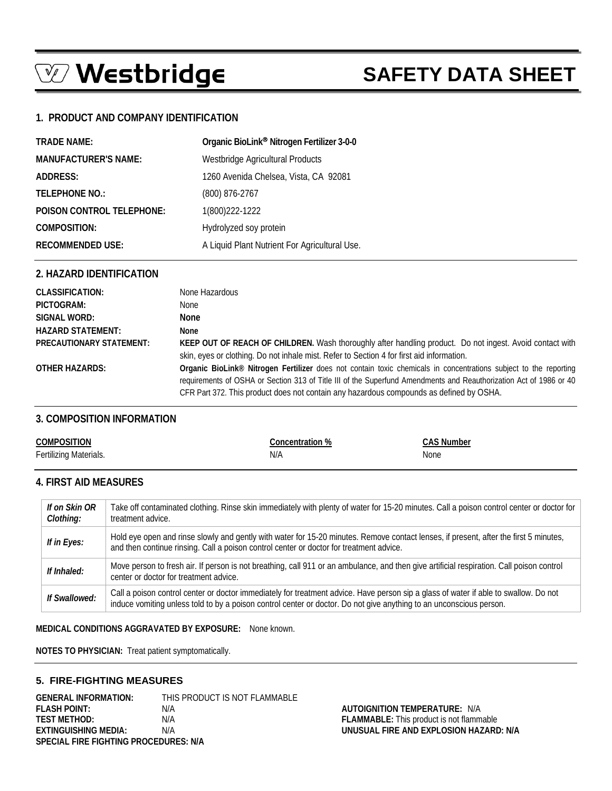# $\mathbb{Z}$  Westbridge

# **SAFETY DATA SHEET**

# **1. PRODUCT AND COMPANY IDENTIFICATION**

| <b>TRADE NAME:</b>          | Organic BioLink <sup>®</sup> Nitrogen Fertilizer 3-0-0 |
|-----------------------------|--------------------------------------------------------|
| <b>MANUFACTURER'S NAME:</b> | Westbridge Agricultural Products                       |
| ADDRESS:                    | 1260 Avenida Chelsea, Vista, CA 92081                  |
| <b>TELEPHONE NO.:</b>       | (800) 876-2767                                         |
| POISON CONTROL TELEPHONE:   | 1(800) 222-1222                                        |
| <b>COMPOSITION:</b>         | Hydrolyzed soy protein                                 |
| <b>RECOMMENDED USE:</b>     | A Liquid Plant Nutrient For Agricultural Use.          |

#### **2. HAZARD IDENTIFICATION**

| <b>CLASSIFICATION:</b>          | None Hazardous                                                                                                                                                                                                                                                                                                                    |
|---------------------------------|-----------------------------------------------------------------------------------------------------------------------------------------------------------------------------------------------------------------------------------------------------------------------------------------------------------------------------------|
| PICTOGRAM:                      | None                                                                                                                                                                                                                                                                                                                              |
| SIGNAL WORD:                    | None                                                                                                                                                                                                                                                                                                                              |
| <b>HAZARD STATEMENT:</b>        | None                                                                                                                                                                                                                                                                                                                              |
| <b>PRECAUTIONARY STATEMENT:</b> | KEEP OUT OF REACH OF CHILDREN. Wash thoroughly after handling product. Do not ingest. Avoid contact with<br>skin, eyes or clothing. Do not inhale mist. Refer to Section 4 for first aid information.                                                                                                                             |
| OTHER HAZARDS:                  | Organic BioLink® Nitrogen Fertilizer does not contain toxic chemicals in concentrations subject to the reporting<br>requirements of OSHA or Section 313 of Title III of the Superfund Amendments and Reauthorization Act of 1986 or 40<br>CFR Part 372. This product does not contain any hazardous compounds as defined by OSHA. |

### **3. COMPOSITION INFORMATION**

| <b>COMPOSITION</b>     | Concentration % | <b>CAS Number</b> |
|------------------------|-----------------|-------------------|
| Fertilizing Materials. | N/A             | None              |
|                        |                 |                   |

# **4. FIRST AID MEASURES**

| If on Skin OR<br>Clothing: | Take off contaminated clothing. Rinse skin immediately with plenty of water for 15-20 minutes. Call a poison control center or doctor for<br>treatment advice.                                                                                              |
|----------------------------|-------------------------------------------------------------------------------------------------------------------------------------------------------------------------------------------------------------------------------------------------------------|
| If in Eyes:                | Hold eye open and rinse slowly and gently with water for 15-20 minutes. Remove contact lenses, if present, after the first 5 minutes,<br>and then continue rinsing. Call a poison control center or doctor for treatment advice.                            |
| If Inhaled:                | Move person to fresh air. If person is not breathing, call 911 or an ambulance, and then give artificial respiration. Call poison control<br>center or doctor for treatment advice.                                                                         |
| If Swallowed:              | Call a poison control center or doctor immediately for treatment advice. Have person sip a glass of water if able to swallow. Do not<br>induce vomiting unless told to by a poison control center or doctor. Do not give anything to an unconscious person. |

**MEDICAL CONDITIONS AGGRAVATED BY EXPOSURE:** None known.

**NOTES TO PHYSICIAN:** Treat patient symptomatically.

### **5. FIRE-FIGHTING MEASURES**

**GENERAL INFORMATION:** THIS PRODUCT IS NOT FLAMMABLE **FLASH POINT:** N/A **AUTOIGNITION TEMPERATURE:** N/A **TEST METHOD:** N/A **FLAMMABLE:** This product is not flammable **EXTINGUISHING MEDIA:** N/A **UNUSUAL FIRE AND EXPLOSION HAZARD: N/A SPECIAL FIRE FIGHTING PROCEDURES: N/A**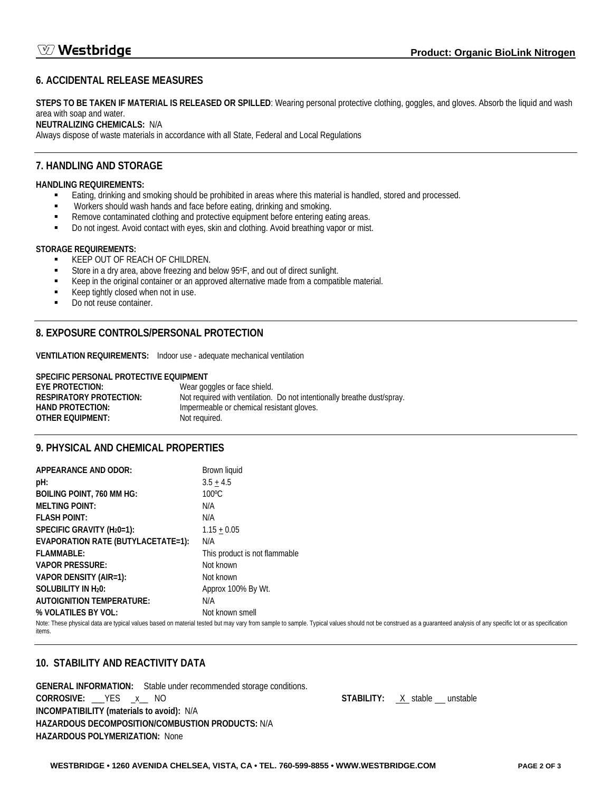# **6. ACCIDENTAL RELEASE MEASURES**

**STEPS TO BE TAKEN IF MATERIAL IS RELEASED OR SPILLED**: Wearing personal protective clothing, goggles, and gloves. Absorb the liquid and wash area with soap and water.

#### **NEUTRALIZING CHEMICALS:** N/A

Always dispose of waste materials in accordance with all State, Federal and Local Regulations

# **7. HANDLING AND STORAGE**

#### **HANDLING REQUIREMENTS:**

- Eating, drinking and smoking should be prohibited in areas where this material is handled, stored and processed.
- Workers should wash hands and face before eating, drinking and smoking.
- Remove contaminated clothing and protective equipment before entering eating areas.
- Do not ingest. Avoid contact with eyes, skin and clothing. Avoid breathing vapor or mist.

#### **STORAGE REQUIREMENTS:**

KEEP OUT OF REACH OF CHILDREN.

- Store in a dry area, above freezing and below 95°F, and out of direct sunlight.
- Keep in the original container or an approved alternative made from a compatible material.
- Keep tightly closed when not in use.
- Do not reuse container.

# **8. EXPOSURE CONTROLS/PERSONAL PROTECTION**

**VENTILATION REQUIREMENTS:** Indoor use - adequate mechanical ventilation

#### **SPECIFIC PERSONAL PROTECTIVE EQUIPMENT**

| <b>EYE PROTECTION:</b>  | Wear goggles or face shield.                                            |
|-------------------------|-------------------------------------------------------------------------|
| RESPIRATORY PROTECTION: | Not required with ventilation. Do not intentionally breathe dust/spray. |
| HAND PROTECTION:        | Impermeable or chemical resistant gloves.                               |
| OTHER EQUIPMENT:        | Not required.                                                           |

# **9. PHYSICAL AND CHEMICAL PROPERTIES**

| APPEARANCE AND ODOR:                   | Brown liquid                                                                                                                                                                                                      |
|----------------------------------------|-------------------------------------------------------------------------------------------------------------------------------------------------------------------------------------------------------------------|
| pH:                                    | $3.5 + 4.5$                                                                                                                                                                                                       |
| <b>BOILING POINT, 760 MM HG:</b>       | $100^{\circ}$ C                                                                                                                                                                                                   |
| <b>MELTING POINT:</b>                  | N/A                                                                                                                                                                                                               |
| <b>FLASH POINT:</b>                    | N/A                                                                                                                                                                                                               |
| SPECIFIC GRAVITY (H <sub>2</sub> 0=1): | $1.15 + 0.05$                                                                                                                                                                                                     |
| EVAPORATION RATE (BUTYLACETATE=1):     | N/A                                                                                                                                                                                                               |
| FLAMMABLE:                             | This product is not flammable                                                                                                                                                                                     |
| <b>VAPOR PRESSURE:</b>                 | Not known                                                                                                                                                                                                         |
| VAPOR DENSITY (AIR=1):                 | Not known                                                                                                                                                                                                         |
| SOLUBILITY IN H <sub>2</sub> 0:        | Approx 100% By Wt.                                                                                                                                                                                                |
| AUTOIGNITION TEMPERATURE:              | N/A                                                                                                                                                                                                               |
| % VOLATILES BY VOL:                    | Not known smell                                                                                                                                                                                                   |
| items.                                 | Note: These physical data are typical values based on material tested but may vary from sample to sample. Typical values should not be construed as a quaranteed analysis of any specific lot or as specification |

# **10. STABILITY AND REACTIVITY DATA**

**GENERAL INFORMATION:** Stable under recommended storage conditions. **CORROSIVE:** \_\_\_YES \_x\_\_ NO **STABILITY:** X stable unstable **INCOMPATIBILITY (materials to avoid):** N/A **HAZARDOUS DECOMPOSITION/COMBUSTION PRODUCTS:** N/A **HAZARDOUS POLYMERIZATION:** None